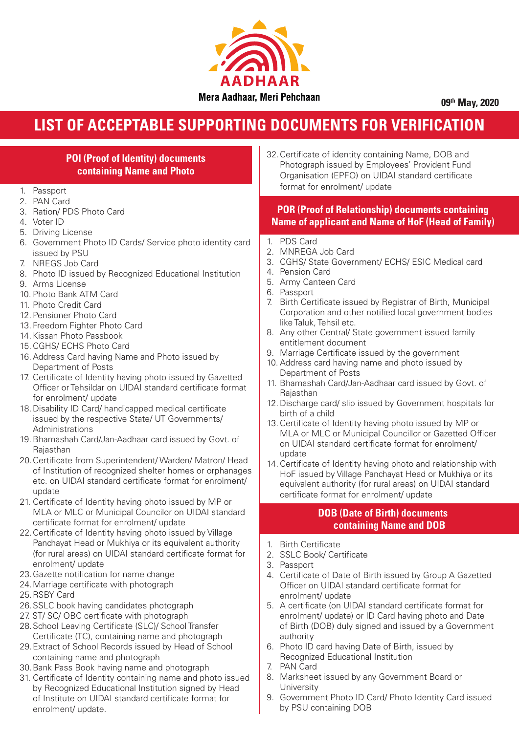

**09th May, 2020**

## **LIST OF ACCEPTABLE SUPPORTING DOCUMENTS FOR VERIFICATION**

| <b>POI (Proof of Identity) documents</b><br><b>containing Name and Photo</b><br>1. Passport                                                                                                                                                                                                                                                                                                                                                                                                                                                                                                                                                                                                                                                                                                                                                                                                                                                                                                                                                                | 32. Certificate of identity containing Name, DOB and<br>Photograph issued by Employees' Provident Fund<br>Organisation (EPFO) on UIDAI standard certificate<br>format for enrolment/ update                                                                                                                                                                                                                                                                                                                                                                                                                                                                                                                                                                                                                                                                                                                                                                                                                                                                                                            |  |  |  |  |
|------------------------------------------------------------------------------------------------------------------------------------------------------------------------------------------------------------------------------------------------------------------------------------------------------------------------------------------------------------------------------------------------------------------------------------------------------------------------------------------------------------------------------------------------------------------------------------------------------------------------------------------------------------------------------------------------------------------------------------------------------------------------------------------------------------------------------------------------------------------------------------------------------------------------------------------------------------------------------------------------------------------------------------------------------------|--------------------------------------------------------------------------------------------------------------------------------------------------------------------------------------------------------------------------------------------------------------------------------------------------------------------------------------------------------------------------------------------------------------------------------------------------------------------------------------------------------------------------------------------------------------------------------------------------------------------------------------------------------------------------------------------------------------------------------------------------------------------------------------------------------------------------------------------------------------------------------------------------------------------------------------------------------------------------------------------------------------------------------------------------------------------------------------------------------|--|--|--|--|
| 2. PAN Card<br>3. Ration/ PDS Photo Card<br>4. Voter ID<br>5. Driving License                                                                                                                                                                                                                                                                                                                                                                                                                                                                                                                                                                                                                                                                                                                                                                                                                                                                                                                                                                              | <b>POR (Proof of Relationship) documents containing</b><br><b>Name of applicant and Name of HoF (Head of Family)</b>                                                                                                                                                                                                                                                                                                                                                                                                                                                                                                                                                                                                                                                                                                                                                                                                                                                                                                                                                                                   |  |  |  |  |
| 6. Government Photo ID Cards/ Service photo identity card<br>issued by PSU<br>7. NREGS Job Card<br>8. Photo ID issued by Recognized Educational Institution<br>9. Arms License<br>10. Photo Bank ATM Card<br>11. Photo Credit Card<br>12. Pensioner Photo Card<br>13. Freedom Fighter Photo Card<br>14. Kissan Photo Passbook<br>15. CGHS/ ECHS Photo Card<br>16. Address Card having Name and Photo issued by<br>Department of Posts<br>17. Certificate of Identity having photo issued by Gazetted<br>Officer or Tehsildar on UIDAI standard certificate format<br>for enrolment/ update<br>18. Disability ID Card/ handicapped medical certificate<br>issued by the respective State/ UT Governments/<br>Administrations<br>19. Bhamashah Card/Jan-Aadhaar card issued by Govt. of<br>Rajasthan<br>20. Certificate from Superintendent/Warden/Matron/Head<br>of Institution of recognized shelter homes or orphanages<br>etc. on UIDAI standard certificate format for enrolment/<br>update<br>21. Certificate of Identity having photo issued by MP or | 1. PDS Card<br>2. MNREGA Job Card<br>3. CGHS/ State Government/ ECHS/ ESIC Medical card<br>4. Pension Card<br>5. Army Canteen Card<br>6. Passport<br>Birth Certificate issued by Registrar of Birth, Municipal<br>Corporation and other notified local government bodies<br>like Taluk, Tehsil etc.<br>8. Any other Central/ State government issued family<br>entitlement document<br>9. Marriage Certificate issued by the government<br>10. Address card having name and photo issued by<br>Department of Posts<br>11. Bhamashah Card/Jan-Aadhaar card issued by Govt. of<br>Rajasthan<br>12. Discharge card/slip issued by Government hospitals for<br>birth of a child<br>13. Certificate of Identity having photo issued by MP or<br>MLA or MLC or Municipal Councillor or Gazetted Officer<br>on UIDAI standard certificate format for enrolment/<br>update<br>14. Certificate of Identity having photo and relationship with<br>HoF issued by Village Panchayat Head or Mukhiya or its<br>equivalent authority (for rural areas) on UIDAI standard<br>certificate format for enrolment/ update |  |  |  |  |
| MLA or MLC or Municipal Councilor on UIDAI standard<br>certificate format for enrolment/ update<br>00 Castificate of Identify leaving plate issued but lillege                                                                                                                                                                                                                                                                                                                                                                                                                                                                                                                                                                                                                                                                                                                                                                                                                                                                                             | <b>DOB (Date of Birth) documents</b><br><b>containing Name and DOB</b>                                                                                                                                                                                                                                                                                                                                                                                                                                                                                                                                                                                                                                                                                                                                                                                                                                                                                                                                                                                                                                 |  |  |  |  |

- 22.Certificate of Identity having photo issued by Village Panchayat Head or Mukhiya or its equivalent authority (for rural areas) on UIDAI standard certificate format for enrolment/ update
- 23.Gazette notification for name change
- 24.Marriage certificate with photograph
- 25.RSBY Card

- 26.SSLC book having candidates photograph
- 27. ST/ SC/ OBC certificate with photograph
- 28.School Leaving Certificate (SLC)/ School Transfer Certificate (TC), containing name and photograph
- 29.Extract of School Records issued by Head of School containing name and photograph
- 30.Bank Pass Book having name and photograph
- 31. Certificate of Identity containing name and photo issued by Recognized Educational Institution signed by Head of Institute on UIDAI standard certificate format for enrolment/ update.
- 1. Birth Certificate
- 2. SSLC Book/ Certificate
- 3. Passport
- 4. Certificate of Date of Birth issued by Group A Gazetted Officer on UIDAI standard certificate format for enrolment/ update
- 5. A certificate (on UIDAI standard certificate format for enrolment/ update) or ID Card having photo and Date of Birth (DOB) duly signed and issued by a Government authority
- 6. Photo ID card having Date of Birth, issued by Recognized Educational Institution
- 7. PAN Card
- 8. Marksheet issued by any Government Board or **University**
- 9. Government Photo ID Card/ Photo Identity Card issued by PSU containing DOB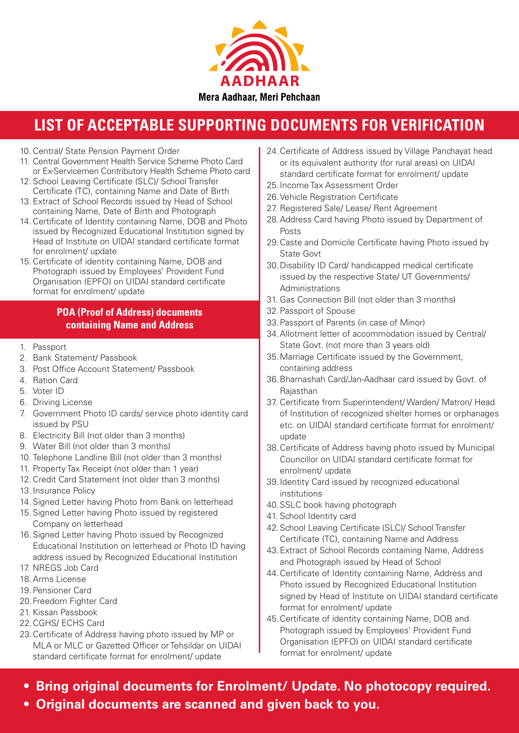

## **LIST OF ACCEPTABLE SUPPORTING DOCUMENTS FOR VERIFICATION**

- 10. Central/ State Pension Payment Order
- 11. Central Government Health Service Scheme Photo Card or Ex-Servicemen Contributory Health Scheme Photo card
- 12. School Leaving Certificate (SLC)/ School Transfer Certificate (TC), containing Name and Date of Birth
- 13. Extract of School Records issued by Head of School containing Name, Date of Birth and Photograph
- 14.Certificate of Identity containing Name, DOB and Photo issued by Recognized Educational Institution signed by Head of Institute on UIDAI standard certificate format for enrolment/ update
- 15.Certificate of identity containing Name, DOB and Photograph issued by Employees' Provident Fund Organisation (EPFO) on UIDAI standard certificate format for enrolment/ update

## **POA (Proof of Address) documents containing Name and Address**

- 1. Passport
- 2. Bank Statement/ Passbook
- 3. Post Office Account Statement/ Passbook
- 4. Ration Card
- 5. Voter ID
- 6. Driving License
- 7. Government Photo ID cards/ service photo identity card issued by PSU
- 8. Electricity Bill (not older than 3 months)
- 9. Water Bill (not older than 3 months)
- 10. Telephone Landline Bill (not older than 3 months)
- 11. Property Tax Receipt (not older than 1 year)
- 12.Credit Card Statement (not older than 3 months)
- 13. Insurance Policy
- 14. Signed Letter having Photo from Bank on letterhead
- 15. Signed Letter having Photo issued by registered Company on letterhead
- 16. Signed Letter having Photo issued by Recognized Educational Institution on letterhead or Photo ID having address issued by Recognized Educational Institution
- 17. NREGS Job Card
- 18.Arms License
- 19. Pensioner Card
- 20.Freedom Fighter Card
- 21. Kissan Passbook
- 22.CGHS/ ECHS Card
- 23.Certificate of Address having photo issued by MP or MLA or MLC or Gazetted Officer or Tehsildar on UIDAI standard certificate format for enrolment/ update
- 24.Certificate of Address issued by Village Panchayat head or its equivalent authority (for rural areas) on UIDAI standard certificate format for enrolment/ update
- 25.Income Tax Assessment Order
- 26.Vehicle Registration Certificate
- 27. Registered Sale/ Lease/ Rent Agreement
- 28.Address Card having Photo issued by Department of Posts
- 29.Caste and Domicile Certificate having Photo issued by State Govt
- 30.Disability ID Card/ handicapped medical certificate issued by the respective State/ UT Governments/ Administrations
- 31. Gas Connection Bill (not older than 3 months)
- 32.Passport of Spouse
- 33.Passport of Parents (in case of Minor)
- 34.Allotment letter of accommodation issued by Central/ State Govt. (not more than 3 years old)
- 35.Marriage Certificate issued by the Government, containing address
- 36.Bhamashah Card/Jan-Aadhaar card issued by Govt. of Rajasthan
- 37. Certificate from Superintendent/ Warden/ Matron/ Head of Institution of recognized shelter homes or orphanages etc. on UIDAI standard certificate format for enrolment/ update
- 38.Certificate of Address having photo issued by Municipal Councillor on UIDAI standard certificate format for enrolment/ update
- 39.Identity Card issued by recognized educational institutions
- 40.SSLC book having photograph
- 41. School Identity card
- 42.School Leaving Certificate (SLC)/ School Transfer Certificate (TC), containing Name and Address
- 43.Extract of School Records containing Name, Address and Photograph issued by Head of School
- 44.Certificate of Identity containing Name, Address and Photo issued by Recognized Educational Institution signed by Head of Institute on UIDAI standard certificate format for enrolment/ update
- 45.Certificate of identity containing Name, DOB and Photograph issued by Employees' Provident Fund Organisation (EPFO) on UIDAI standard certificate format for enrolment/ update
- **Bring original documents for Enrolment/ Update. No photocopy required.**
- **Original documents are scanned and given back to you.**